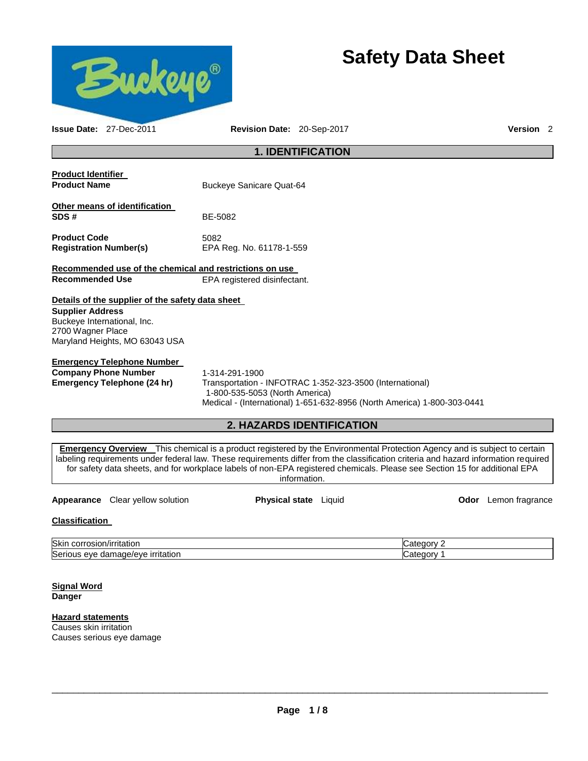

# **Safety Data Sheet**

**Issue Date:** 27-Dec-2011 **Revision Date:** 20-Sep-2017 **Version** 2

# **1. IDENTIFICATION**

| <b>Product Identifier</b><br><b>Product Name</b>                                                                                                                  | <b>Buckeye Sanicare Quat-64</b>  |
|-------------------------------------------------------------------------------------------------------------------------------------------------------------------|----------------------------------|
| Other means of identification<br>SDS #                                                                                                                            | BE-5082                          |
| <b>Product Code</b><br><b>Registration Number(s)</b>                                                                                                              | 5082<br>EPA Reg. No. 61178-1-559 |
| Recommended use of the chemical and restrictions on use<br><b>Recommended Use</b>                                                                                 | EPA registered disinfectant.     |
| Details of the supplier of the safety data sheet<br><b>Supplier Address</b><br>Buckeye International, Inc.<br>2700 Wagner Place<br>Maryland Heights, MO 63043 USA |                                  |

#### **Emergency Telephone Number**

**Company Phone Number** 1-314-291-1900

**Emergency Telephone (24 hr)** Transportation - INFOTRAC 1-352-323-3500 (International) 1-800-535-5053 (North America) Medical - (International) 1-651-632-8956 (North America) 1-800-303-0441

# **2. HAZARDS IDENTIFICATION**

**Emergency Overview** This chemical is a product registered by the Environmental Protection Agency and is subject to certain labeling requirements under federal law. These requirements differ from the classification criteria and hazard information required for safety data sheets, and for workplace labels of non-EPA registered chemicals. Please see Section 15 for additional EPA information.

**Appearance** Clear yellow solution **Physical state** Liquid **Constanting Constant Constant Constant Constant Physical state** Liquid **Constant Constant Constant Constant Constant Physical state** Liquid

# **Classification**

| Skin<br>____<br>.<br>ritatior<br>.or<br><b>ISIC</b>            | r |
|----------------------------------------------------------------|---|
| r<br>Serio<br><u>ırrıtatıor</u><br>nade/eve<br>eve<br>ааг<br>м | z |

**Signal Word Danger** 

# **Hazard statements**

Causes skin irritation Causes serious eye damage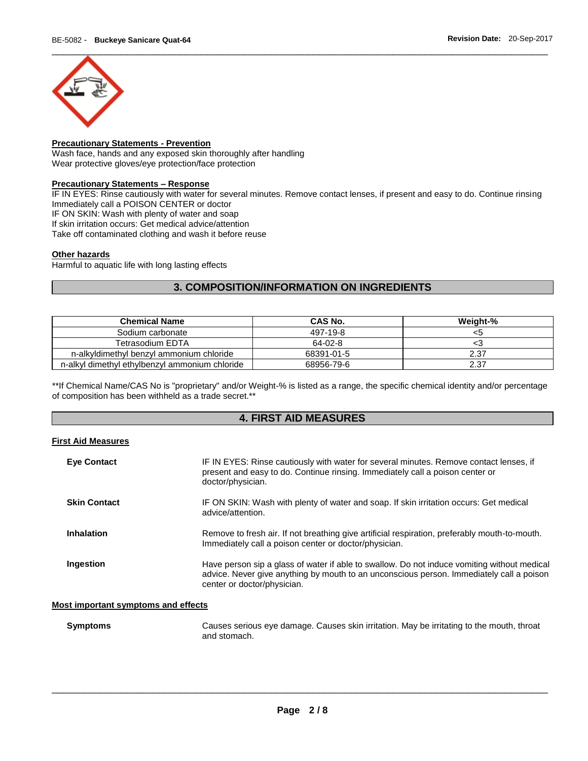

# **Precautionary Statements - Prevention**

Wash face, hands and any exposed skin thoroughly after handling Wear protective gloves/eye protection/face protection

#### **Precautionary Statements – Response**

IF IN EYES: Rinse cautiously with water for several minutes. Remove contact lenses, if present and easy to do. Continue rinsing Immediately call a POISON CENTER or doctor IF ON SKIN: Wash with plenty of water and soap

If skin irritation occurs: Get medical advice/attention

Take off contaminated clothing and wash it before reuse

### **Other hazards**

Harmful to aquatic life with long lasting effects

# **3. COMPOSITION/INFORMATION ON INGREDIENTS**

| <b>Chemical Name</b>                           | <b>CAS No.</b> | Weight-% |
|------------------------------------------------|----------------|----------|
| Sodium carbonate                               | 497-19-8       | <5       |
| Tetrasodium EDTA                               | 64-02-8        | د.>      |
| n-alkyldimethyl benzyl ammonium chloride       | 68391-01-5     | 2.37     |
| n-alkyl dimethyl ethylbenzyl ammonium chloride | 68956-79-6     | 2.37     |

\*\*If Chemical Name/CAS No is "proprietary" and/or Weight-% is listed as a range, the specific chemical identity and/or percentage of composition has been withheld as a trade secret.\*\*

# **4. FIRST AID MEASURES**

#### **First Aid Measures**

| <b>Eye Contact</b>  | IF IN EYES: Rinse cautiously with water for several minutes. Remove contact lenses, if<br>present and easy to do. Continue rinsing. Immediately call a poison center or<br>doctor/physician.                           |
|---------------------|------------------------------------------------------------------------------------------------------------------------------------------------------------------------------------------------------------------------|
| <b>Skin Contact</b> | IF ON SKIN: Wash with plenty of water and soap. If skin irritation occurs: Get medical<br>advice/attention.                                                                                                            |
| Inhalation          | Remove to fresh air. If not breathing give artificial respiration, preferably mouth-to-mouth.<br>Immediately call a poison center or doctor/physician.                                                                 |
| Ingestion           | Have person sip a glass of water if able to swallow. Do not induce vomiting without medical<br>advice. Never give anything by mouth to an unconscious person. Immediately call a poison<br>center or doctor/physician. |

### **Most important symptoms and effects**

| <b>Symptoms</b> | Causes serious eye damage. Causes skin irritation. May be irritating to the mouth, throat |
|-----------------|-------------------------------------------------------------------------------------------|
|                 | and stomach.                                                                              |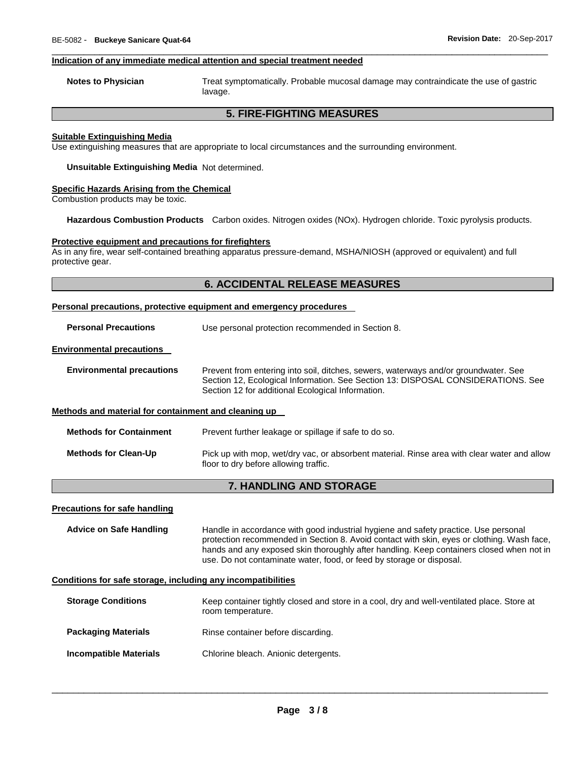#### **Indication of any immediate medical attention and special treatment needed**

**Notes to Physician** Treat symptomatically. Probable mucosal damage may contraindicate the use of gastric lavage.

# **5. FIRE-FIGHTING MEASURES**

\_\_\_\_\_\_\_\_\_\_\_\_\_\_\_\_\_\_\_\_\_\_\_\_\_\_\_\_\_\_\_\_\_\_\_\_\_\_\_\_\_\_\_\_\_\_\_\_\_\_\_\_\_\_\_\_\_\_\_\_\_\_\_\_\_\_\_\_\_\_\_\_\_\_\_\_\_\_\_\_\_\_\_\_\_\_\_\_\_\_\_\_\_

#### **Suitable Extinguishing Media**

Use extinguishing measures that are appropriate to local circumstances and the surrounding environment.

**Unsuitable Extinguishing Media** Not determined.

#### **Specific Hazards Arising from the Chemical**

Combustion products may be toxic.

**Hazardous Combustion Products** Carbon oxides. Nitrogen oxides (NOx). Hydrogen chloride. Toxic pyrolysis products.

#### **Protective equipment and precautions for firefighters**

As in any fire, wear self-contained breathing apparatus pressure-demand, MSHA/NIOSH (approved or equivalent) and full protective gear.

### **6. ACCIDENTAL RELEASE MEASURES**

#### **Personal precautions, protective equipment and emergency procedures**

**Personal Precautions** Use personal protection recommended in Section 8.

#### **Environmental precautions**

| <b>Environmental precautions</b> | Prevent from entering into soil, ditches, sewers, waterways and/or groundwater. See |
|----------------------------------|-------------------------------------------------------------------------------------|
|                                  | Section 12, Ecological Information. See Section 13: DISPOSAL CONSIDERATIONS. See    |
|                                  | Section 12 for additional Ecological Information.                                   |

#### **Methods and material for containment and cleaning up**

| <b>Methods for Containment</b> | Prevent further leakage or spillage if safe to do so.                                                                                |
|--------------------------------|--------------------------------------------------------------------------------------------------------------------------------------|
| <b>Methods for Clean-Up</b>    | Pick up with mop, wet/dry vac, or absorbent material. Rinse area with clear water and allow<br>floor to dry before allowing traffic. |

# **7. HANDLING AND STORAGE**

#### **Precautions for safe handling**

**Advice on Safe Handling** Handle in accordance with good industrial hygiene and safety practice. Use personal protection recommended in Section 8. Avoid contact with skin, eyes or clothing. Wash face, hands and any exposed skin thoroughly after handling. Keep containers closed when not in use. Do not contaminate water, food, or feed by storage or disposal.

#### **Conditions for safe storage, including any incompatibilities**

| <b>Storage Conditions</b>     | Keep container tightly closed and store in a cool, dry and well-ventilated place. Store at<br>room temperature. |
|-------------------------------|-----------------------------------------------------------------------------------------------------------------|
| <b>Packaging Materials</b>    | Rinse container before discarding.                                                                              |
| <b>Incompatible Materials</b> | Chlorine bleach. Anionic detergents.                                                                            |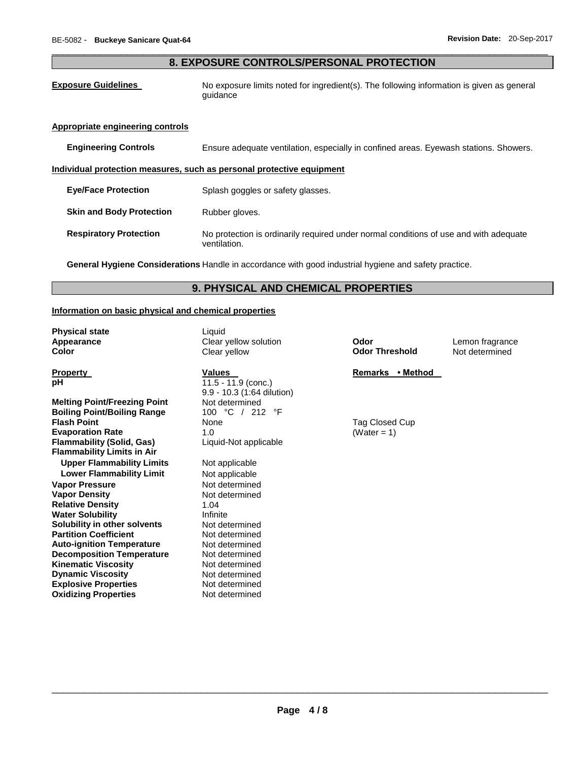# \_\_\_\_\_\_\_\_\_\_\_\_\_\_\_\_\_\_\_\_\_\_\_\_\_\_\_\_\_\_\_\_\_\_\_\_\_\_\_\_\_\_\_\_\_\_\_\_\_\_\_\_\_\_\_\_\_\_\_\_\_\_\_\_\_\_\_\_\_\_\_\_\_\_\_\_\_\_\_\_\_\_\_\_\_\_\_\_\_\_\_\_\_ **8. EXPOSURE CONTROLS/PERSONAL PROTECTION**

**Exposure Guidelines** No exposure limits noted for ingredient(s). The following information is given as general guidance

#### **Appropriate engineering controls**

**Engineering Controls** Ensure adequate ventilation, especially in confined areas. Eyewash stations. Showers.

### **Individual protection measures, such as personal protective equipment**

**Eye/Face Protection Splash goggles or safety glasses.** 

- **Skin and Body Protection •• Rubber gloves.**
- **Respiratory Protection** No protection is ordinarily required under normal conditions of use and with adequate ventilation.

**General Hygiene Considerations** Handle in accordance with good industrial hygiene and safety practice.

# **9. PHYSICAL AND CHEMICAL PROPERTIES**

#### **Information on basic physical and chemical properties**

**Physical state** Liquid

**Melting Point/Freezing Point Weltermined Boiling Point/Boiling Range**  $100 °C / 212 °F$ **<br>
<b>Flash Point Evaporation Rate 1.0** (Water = 1) **Flammability (Solid, Gas)** Liquid-Not applicable **Flammability Limits in Air Upper Flammability Limits** Not applicable **Lower Flammability Limit** Not applicable **Vapor Pressure**  Not determined **Vapor Density Not determined Relative Density** 1.04 **Water Solubility Infinite Solubility in other solvents** Not determined **Partition Coefficient Not determined Auto-ignition Temperature 61 Mot determined <br>
<b>Decomposition Temperature** Mot determined **Decomposition Temperature Kinematic Viscosity Not determined Dynamic Viscosity Not determined Explosive Properties** Not determined **Oxidizing Properties** Not determined

**Property Construction Values Construction Values Remarks** • Method **Remarks** • Method **pH**  $11.5 - 11.9$  (conc.) 9.9 - 10.3 (1:64 dilution) **Flag Closed Cup** 

**Appearance** Clear yellow solution **Odor** Lemon fragrance **Color** Clear yellow **Odor Threshold** Not determined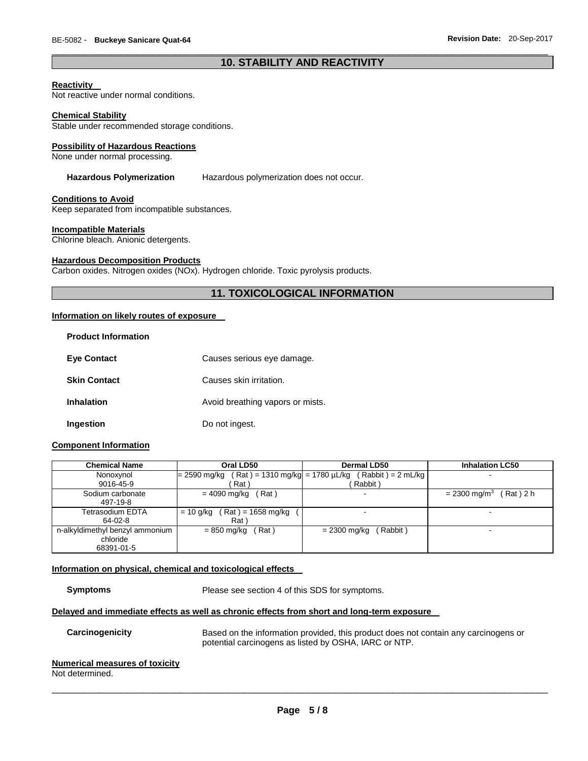# \_\_\_\_\_\_\_\_\_\_\_\_\_\_\_\_\_\_\_\_\_\_\_\_\_\_\_\_\_\_\_\_\_\_\_\_\_\_\_\_\_\_\_\_\_\_\_\_\_\_\_\_\_\_\_\_\_\_\_\_\_\_\_\_\_\_\_\_\_\_\_\_\_\_\_\_\_\_\_\_\_\_\_\_\_\_\_\_\_\_\_\_\_ **10. STABILITY AND REACTIVITY**

#### **Reactivity**

Not reactive under normal conditions.

#### **Chemical Stability**

Stable under recommended storage conditions.

#### **Possibility of Hazardous Reactions**

None under normal processing.

#### **Hazardous Polymerization** Hazardous polymerization does not occur.

#### **Conditions to Avoid**

Keep separated from incompatible substances.

#### **Incompatible Materials**

Chlorine bleach. Anionic detergents.

#### **Hazardous Decomposition Products**

Carbon oxides. Nitrogen oxides (NOx). Hydrogen chloride. Toxic pyrolysis products.

# **11. TOXICOLOGICAL INFORMATION**

#### **Information on likely routes of exposure**

| <b>Product Information</b> |                                  |
|----------------------------|----------------------------------|
| <b>Eve Contact</b>         | Causes serious eye damage.       |
| <b>Skin Contact</b>        | Causes skin irritation.          |
| Inhalation                 | Avoid breathing vapors or mists. |
| Ingestion                  | Do not ingest.                   |

#### **Component Information**

| <b>Chemical Name</b>            | Oral LD50                                         | <b>Dermal LD50</b>       | <b>Inhalation LC50</b>                   |
|---------------------------------|---------------------------------------------------|--------------------------|------------------------------------------|
| Nonoxynol                       | $(Rat) = 1310$ mg/kg = 1780 µL/kg<br>= 2590 mg/kg | $(Rabbit) = 2 ml/kg$     |                                          |
| 9016-45-9                       | Rat                                               | Rabbit)                  |                                          |
| Sodium carbonate                | Rat)<br>= 4090 mg/kg                              | $\sim$                   | $Rat)$ 2 h<br>$= 2300$ mg/m <sup>3</sup> |
| 497-19-8                        |                                                   |                          |                                          |
| Tetrasodium EDTA                | ( Rat ) = 1658 mg/kg<br>= 10 g/kg                 | $\overline{\phantom{0}}$ |                                          |
| $64-02-8$                       | Rat )                                             |                          |                                          |
| n-alkyldimethyl benzyl ammonium | Rat)<br>= 850 mg/kg                               | (Rabbit)<br>= 2300 mg/kg |                                          |
| chloride                        |                                                   |                          |                                          |
| 68391-01-5                      |                                                   |                          |                                          |

#### **Information on physical, chemical and toxicological effects**

**Symptoms** Please see section 4 of this SDS for symptoms.

#### **Delayed and immediate effects as well as chronic effects from short and long-term exposure**

**Carcinogenicity** Based on the information provided, this product does not contain any carcinogens or potential carcinogens as listed by OSHA, IARC or NTP.

#### **Numerical measures of toxicity**

Not determined.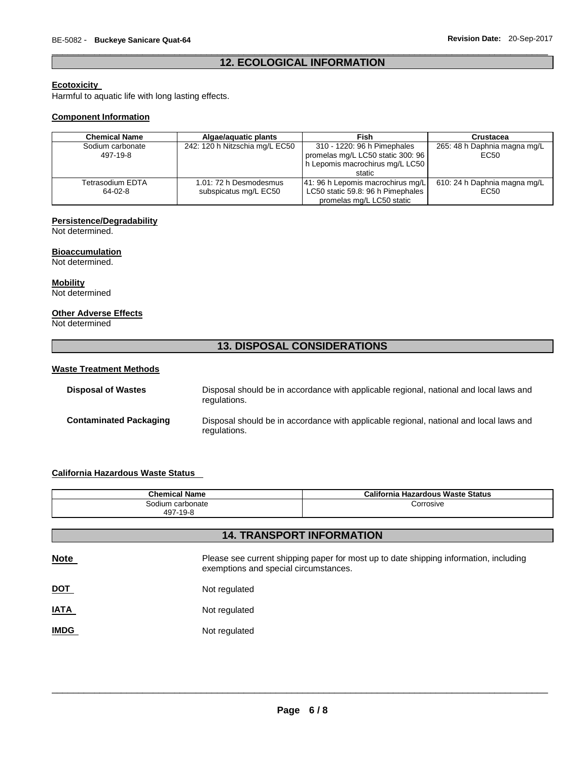# \_\_\_\_\_\_\_\_\_\_\_\_\_\_\_\_\_\_\_\_\_\_\_\_\_\_\_\_\_\_\_\_\_\_\_\_\_\_\_\_\_\_\_\_\_\_\_\_\_\_\_\_\_\_\_\_\_\_\_\_\_\_\_\_\_\_\_\_\_\_\_\_\_\_\_\_\_\_\_\_\_\_\_\_\_\_\_\_\_\_\_\_\_ **12. ECOLOGICAL INFORMATION**

# **Ecotoxicity**

Harmful to aquatic life with long lasting effects.

# **Component Information**

| <b>Chemical Name</b>         | Algae/aguatic plants                            | Fish                                                                                                          | Crustacea                            |
|------------------------------|-------------------------------------------------|---------------------------------------------------------------------------------------------------------------|--------------------------------------|
| Sodium carbonate<br>497-19-8 | 242: 120 h Nitzschia mg/L EC50                  | 310 - 1220: 96 h Pimephales<br>promelas mg/L LC50 static 300: 96<br>h Lepomis macrochirus mg/L LC50<br>static | 265: 48 h Daphnia magna mg/L<br>EC50 |
| Tetrasodium EDTA<br>64-02-8  | 1.01: 72 h Desmodesmus<br>subspicatus mg/L EC50 | 41: 96 h Lepomis macrochirus mg/L<br>LC50 static 59.8: 96 h Pimephales<br>promelas mg/L LC50 static           | 610: 24 h Daphnia magna mg/L<br>EC50 |

# **Persistence/Degradability**

Not determined.

## **Bioaccumulation**

Not determined.

**Mobility**

Not determined

# **Other Adverse Effects**

Not determined

# **13. DISPOSAL CONSIDERATIONS**

## **Waste Treatment Methods**

| <b>Disposal of Wastes</b>     | Disposal should be in accordance with applicable regional, national and local laws and<br>regulations. |
|-------------------------------|--------------------------------------------------------------------------------------------------------|
| <b>Contaminated Packaging</b> | Disposal should be in accordance with applicable regional, national and local laws and<br>regulations. |

# **California Hazardous Waste Status**

| <b>Chemical Name</b>         |               | <b>California Hazardous Waste Status</b>                                                                                       |  |  |  |
|------------------------------|---------------|--------------------------------------------------------------------------------------------------------------------------------|--|--|--|
| Sodium carbonate<br>497-19-8 |               | Corrosive                                                                                                                      |  |  |  |
|                              |               | <b>14. TRANSPORT INFORMATION</b>                                                                                               |  |  |  |
|                              |               |                                                                                                                                |  |  |  |
| <b>Note</b>                  |               | Please see current shipping paper for most up to date shipping information, including<br>exemptions and special circumstances. |  |  |  |
| <b>DOT</b>                   | Not regulated |                                                                                                                                |  |  |  |
| <b>IATA</b>                  | Not regulated |                                                                                                                                |  |  |  |
| <b>IMDG</b>                  | Not regulated |                                                                                                                                |  |  |  |
|                              |               |                                                                                                                                |  |  |  |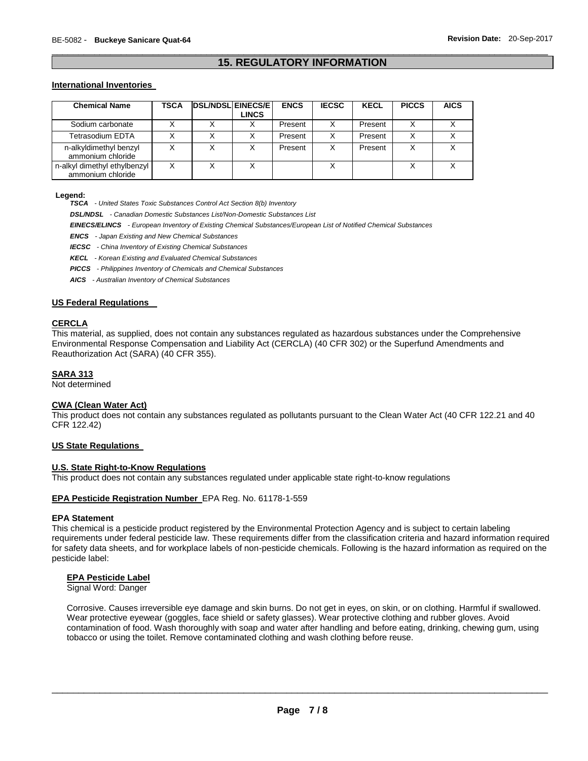# \_\_\_\_\_\_\_\_\_\_\_\_\_\_\_\_\_\_\_\_\_\_\_\_\_\_\_\_\_\_\_\_\_\_\_\_\_\_\_\_\_\_\_\_\_\_\_\_\_\_\_\_\_\_\_\_\_\_\_\_\_\_\_\_\_\_\_\_\_\_\_\_\_\_\_\_\_\_\_\_\_\_\_\_\_\_\_\_\_\_\_\_\_ **15. REGULATORY INFORMATION**

### **International Inventories**

| <b>Chemical Name</b>                              | TSCA | <b>DSL/NDSL EINECS/E</b> | <b>LINCS</b> | <b>ENCS</b> | <b>IECSC</b> | <b>KECL</b> | <b>PICCS</b> | <b>AICS</b> |
|---------------------------------------------------|------|--------------------------|--------------|-------------|--------------|-------------|--------------|-------------|
| Sodium carbonate                                  |      |                          |              | Present     | х            | Present     | X            |             |
| Tetrasodium EDTA                                  |      |                          |              | Present     | X            | Present     | X            |             |
| n-alkyldimethyl benzyl<br>ammonium chloride       |      |                          |              | Present     | х            | Present     | х            |             |
| n-alkyl dimethyl ethylbenzyl<br>ammonium chloride |      | Χ                        | X            |             |              |             |              |             |

#### **Legend:**

*TSCA - United States Toxic Substances Control Act Section 8(b) Inventory* 

*DSL/NDSL - Canadian Domestic Substances List/Non-Domestic Substances List* 

*EINECS/ELINCS - European Inventory of Existing Chemical Substances/European List of Notified Chemical Substances* 

*ENCS - Japan Existing and New Chemical Substances* 

*IECSC - China Inventory of Existing Chemical Substances* 

*KECL - Korean Existing and Evaluated Chemical Substances* 

*PICCS - Philippines Inventory of Chemicals and Chemical Substances* 

*AICS - Australian Inventory of Chemical Substances* 

#### **US Federal Regulations**

#### **CERCLA**

This material, as supplied, does not contain any substances regulated as hazardous substances under the Comprehensive Environmental Response Compensation and Liability Act (CERCLA) (40 CFR 302) or the Superfund Amendments and Reauthorization Act (SARA) (40 CFR 355).

#### **SARA 313**

Not determined

#### **CWA (Clean Water Act)**

This product does not contain any substances regulated as pollutants pursuant to the Clean Water Act (40 CFR 122.21 and 40 CFR 122.42)

#### **US State Regulations**

#### **U.S. State Right-to-Know Regulations**

This product does not contain any substances regulated under applicable state right-to-know regulations

#### **EPA Pesticide Registration Number** EPA Reg. No. 61178-1-559

#### **EPA Statement**

This chemical is a pesticide product registered by the Environmental Protection Agency and is subject to certain labeling requirements under federal pesticide law. These requirements differ from the classification criteria and hazard information required for safety data sheets, and for workplace labels of non-pesticide chemicals. Following is the hazard information as required on the pesticide label:

#### **EPA Pesticide Label**

Signal Word: Danger

Corrosive. Causes irreversible eye damage and skin burns. Do not get in eyes, on skin, or on clothing. Harmful if swallowed. Wear protective eyewear (goggles, face shield or safety glasses). Wear protective clothing and rubber gloves. Avoid contamination of food. Wash thoroughly with soap and water after handling and before eating, drinking, chewing gum, using tobacco or using the toilet. Remove contaminated clothing and wash clothing before reuse.